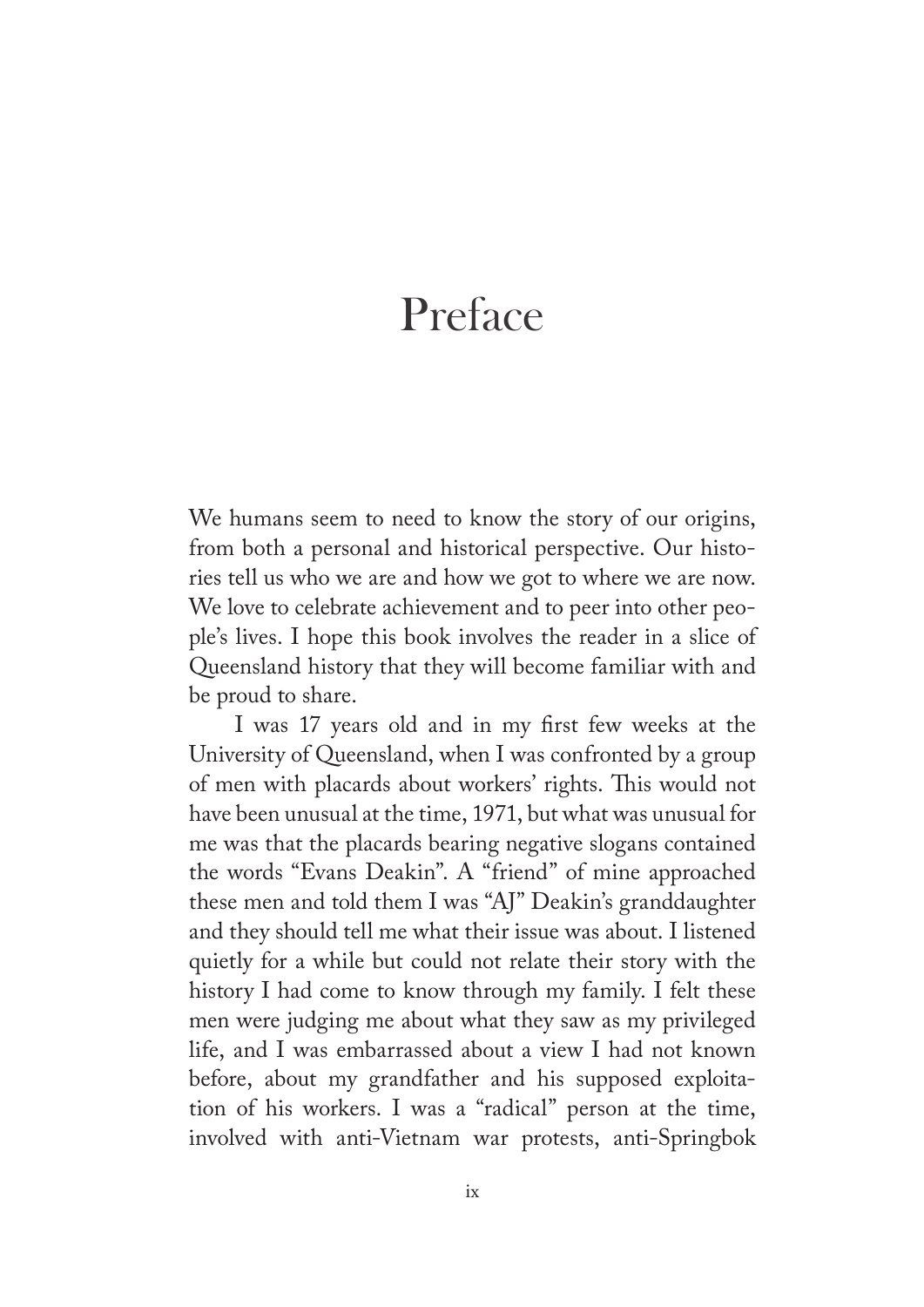## Preface

We humans seem to need to know the story of our origins, from both a personal and historical perspective. Our histories tell us who we are and how we got to where we are now. We love to celebrate achievement and to peer into other people's lives. I hope this book involves the reader in a slice of Queensland history that they will become familiar with and be proud to share.

I was 17 years old and in my frst few weeks at the University of Queensland, when I was confronted by a group of men with placards about workers' rights. This would not have been unusual at the time, 1971, but what was unusual for me was that the placards bearing negative slogans contained the words "Evans Deakin". A "friend" of mine approached these men and told them I was "AJ" Deakin's granddaughter and they should tell me what their issue was about. I listened quietly for a while but could not relate their story with the history I had come to know through my family. I felt these men were judging me about what they saw as my privileged life, and I was embarrassed about a view I had not known before, about my grandfather and his supposed exploitation of his workers. I was a "radical" person at the time, involved with anti-Vietnam war protests, anti-Springbok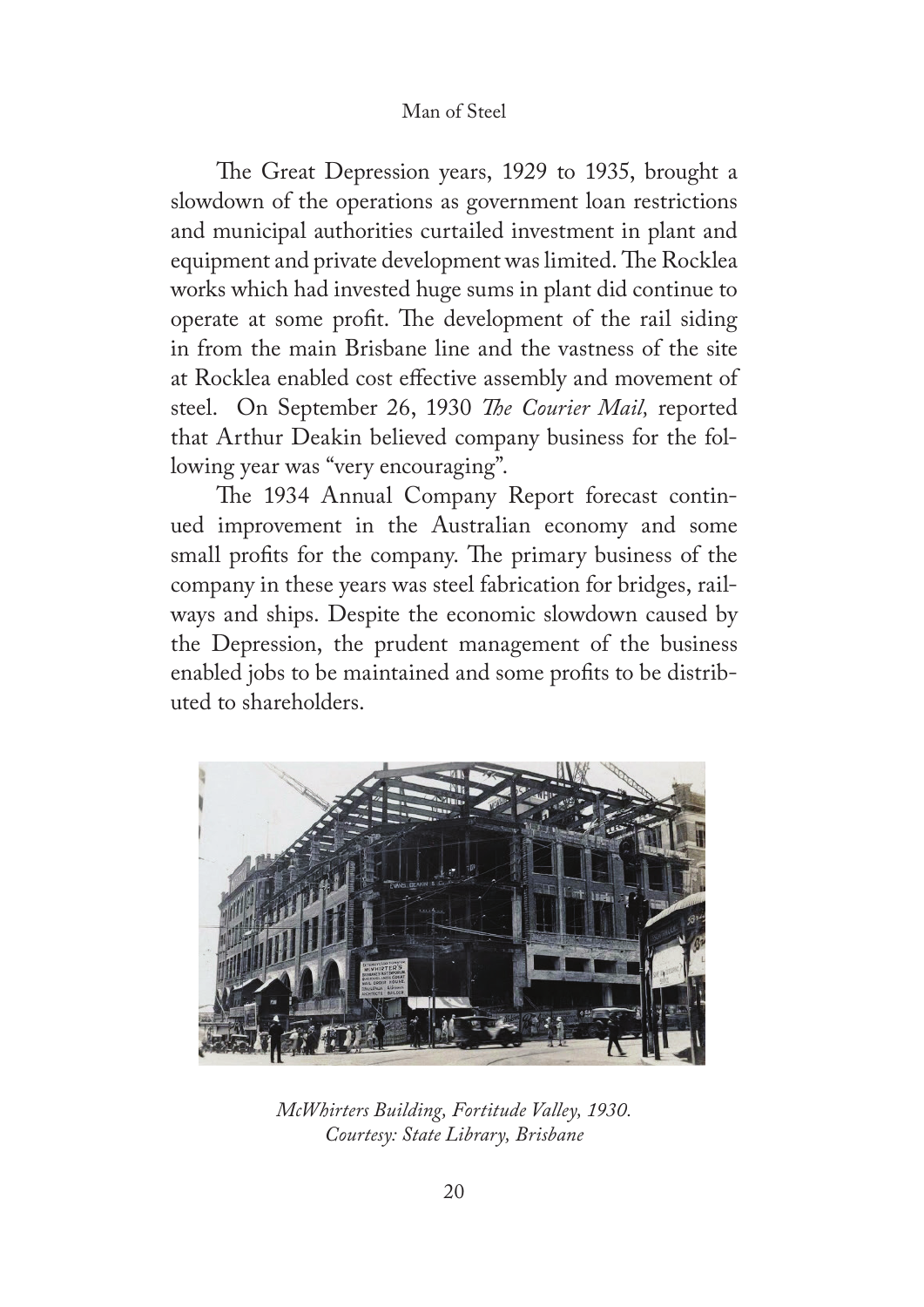## Man of Steel

The Great Depression years, 1929 to 1935, brought a slowdown of the operations as government loan restrictions and municipal authorities curtailed investment in plant and equipment and private development was limited. The Rocklea works which had invested huge sums in plant did continue to operate at some profit. The development of the rail siding in from the main Brisbane line and the vastness of the site at Rocklea enabled cost efective assembly and movement of steel. On September 26, 1930 *Te Courier Mail,* reported that Arthur Deakin believed company business for the following year was "very encouraging".

The 1934 Annual Company Report forecast continued improvement in the Australian economy and some small profits for the company. The primary business of the company in these years was steel fabrication for bridges, railways and ships. Despite the economic slowdown caused by the Depression, the prudent management of the business enabled jobs to be maintained and some profts to be distributed to shareholders.



*McWhirters Building, Fortitude Valley, 1930. Courtesy: State Library, Brisbane*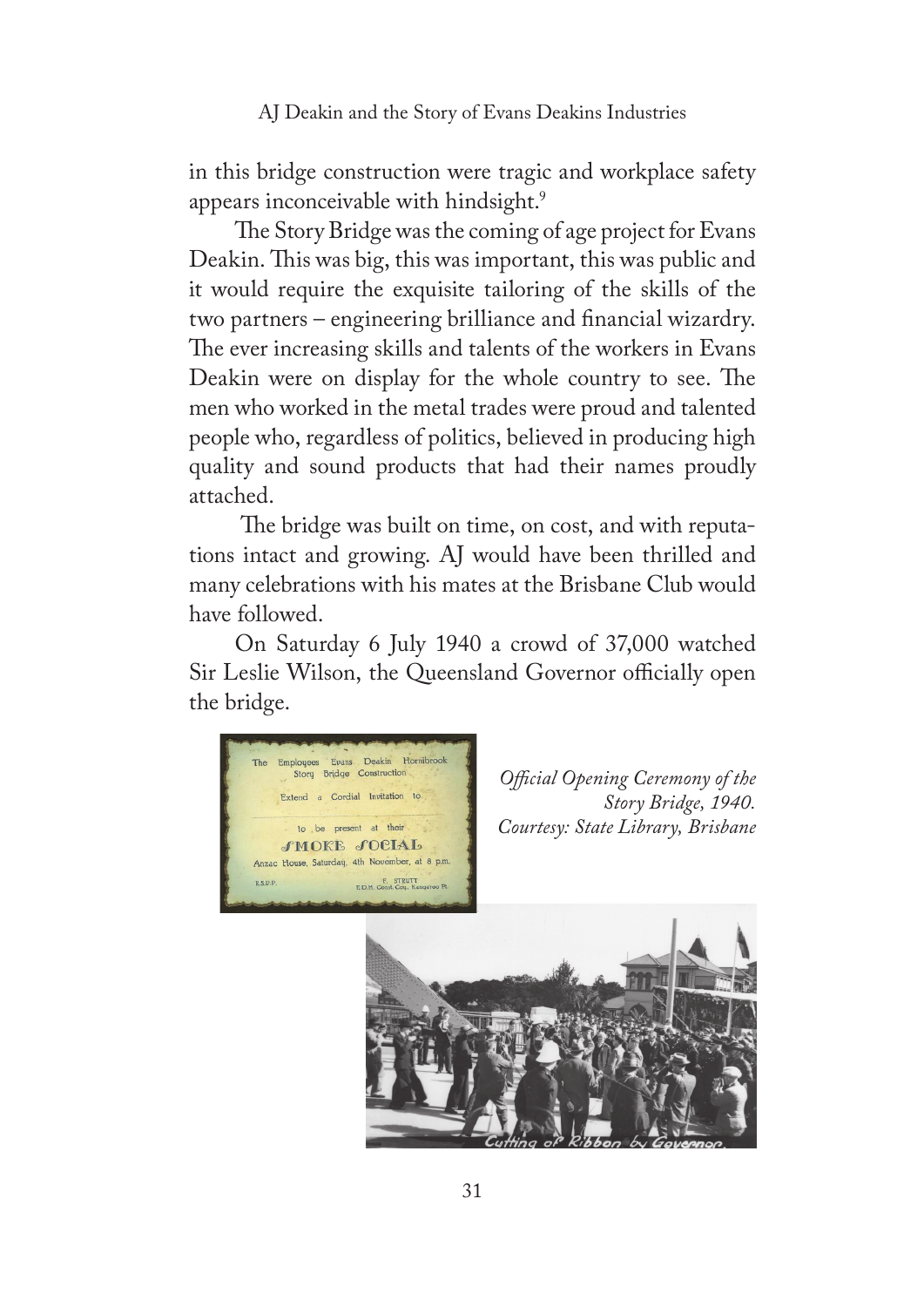AJ Deakin and the Story of Evans Deakins Industries

in this bridge construction were tragic and workplace safety appears inconceivable with hindsight.<sup>9</sup>

The Story Bridge was the coming of age project for Evans Deakin. This was big, this was important, this was public and it would require the exquisite tailoring of the skills of the two partners – engineering brilliance and fnancial wizardry. The ever increasing skills and talents of the workers in Evans Deakin were on display for the whole country to see. The men who worked in the metal trades were proud and talented people who, regardless of politics, believed in producing high quality and sound products that had their names proudly attached.

The bridge was built on time, on cost, and with reputations intact and growing. AJ would have been thrilled and many celebrations with his mates at the Brisbane Club would have followed.

On Saturday 6 July 1940 a crowd of 37,000 watched Sir Leslie Wilson, the Queensland Governor officially open the bridge.



*Ofcial Opening Ceremony of the Story Bridge, 1940. Courtesy: State Library, Brisbane*